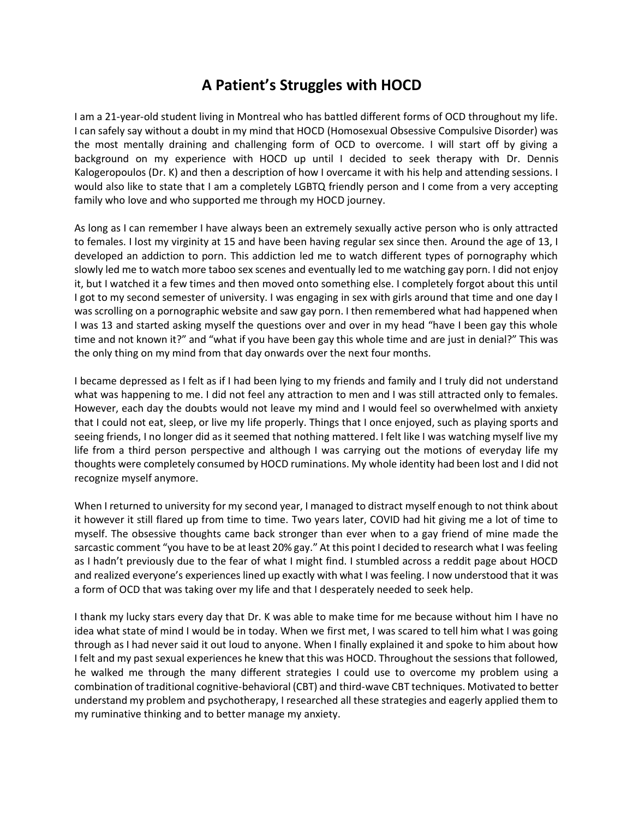## **A Patient's Struggles with HOCD**

I am a 21-year-old student living in Montreal who has battled different forms of OCD throughout my life. I can safely say without a doubt in my mind that HOCD (Homosexual Obsessive Compulsive Disorder) was the most mentally draining and challenging form of OCD to overcome. I will start off by giving a background on my experience with HOCD up until I decided to seek therapy with Dr. Dennis Kalogeropoulos (Dr. K) and then a description of how I overcame it with his help and attending sessions. I would also like to state that I am a completely LGBTQ friendly person and I come from a very accepting family who love and who supported me through my HOCD journey.

As long as I can remember I have always been an extremely sexually active person who is only attracted to females. I lost my virginity at 15 and have been having regular sex since then. Around the age of 13, I developed an addiction to porn. This addiction led me to watch different types of pornography which slowly led me to watch more taboo sex scenes and eventually led to me watching gay porn. I did not enjoy it, but I watched it a few times and then moved onto something else. I completely forgot about this until I got to my second semester of university. I was engaging in sex with girls around that time and one day I was scrolling on a pornographic website and saw gay porn. I then remembered what had happened when I was 13 and started asking myself the questions over and over in my head "have I been gay this whole time and not known it?" and "what if you have been gay this whole time and are just in denial?" This was the only thing on my mind from that day onwards over the next four months.

I became depressed as I felt as if I had been lying to my friends and family and I truly did not understand what was happening to me. I did not feel any attraction to men and I was still attracted only to females. However, each day the doubts would not leave my mind and I would feel so overwhelmed with anxiety that I could not eat, sleep, or live my life properly. Things that I once enjoyed, such as playing sports and seeing friends, I no longer did as it seemed that nothing mattered. I felt like I was watching myself live my life from a third person perspective and although I was carrying out the motions of everyday life my thoughts were completely consumed by HOCD ruminations. My whole identity had been lost and I did not recognize myself anymore.

When I returned to university for my second year, I managed to distract myself enough to not think about it however it still flared up from time to time. Two years later, COVID had hit giving me a lot of time to myself. The obsessive thoughts came back stronger than ever when to a gay friend of mine made the sarcastic comment "you have to be at least 20% gay." At this point I decided to research what I was feeling as I hadn't previously due to the fear of what I might find. I stumbled across a reddit page about HOCD and realized everyone's experiences lined up exactly with what I was feeling. I now understood that it was a form of OCD that was taking over my life and that I desperately needed to seek help.

I thank my lucky stars every day that Dr. K was able to make time for me because without him I have no idea what state of mind I would be in today. When we first met, I was scared to tell him what I was going through as I had never said it out loud to anyone. When I finally explained it and spoke to him about how I felt and my past sexual experiences he knew that this was HOCD. Throughout the sessions that followed, he walked me through the many different strategies I could use to overcome my problem using a combination of traditional cognitive-behavioral (CBT) and third-wave CBT techniques. Motivated to better understand my problem and psychotherapy, I researched all these strategies and eagerly applied them to my ruminative thinking and to better manage my anxiety.